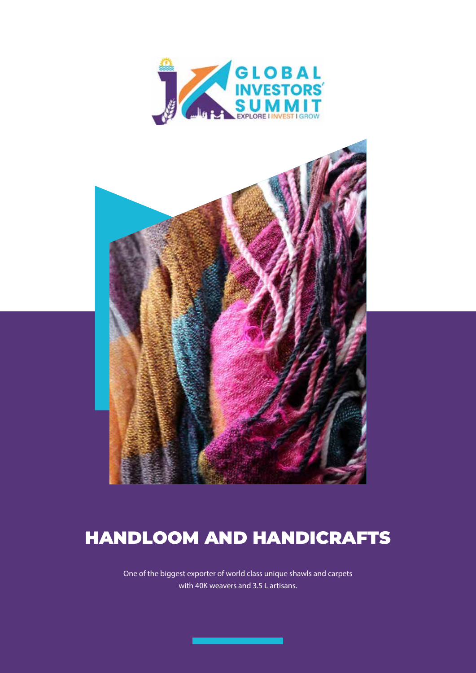



# HANDLOOM AND HANDICRAFTS

One of the biggest exporter of world class unique shawls and carpets with 40K weavers and 3.5 L artisans.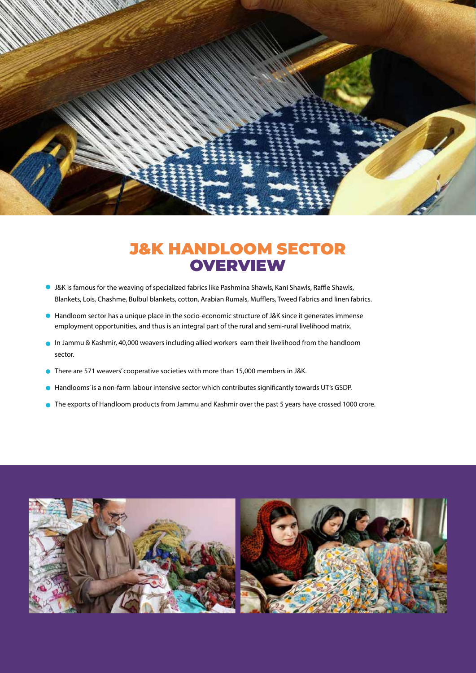

## J&K HANDLOOM SECTOR **OVERVIEW**

- J&K is famous for the weaving of specialized fabrics like Pashmina Shawls, Kani Shawls, Raffle Shawls, Blankets, Lois, Chashme, Bulbul blankets, cotton, Arabian Rumals, Mufflers, Tweed Fabrics and linen fabrics.
- Handloom sector has a unique place in the socio-economic structure of J&K since it generates immense employment opportunities, and thus is an integral part of the rural and semi-rural livelihood matrix.
- In Jammu & Kashmir, 40,000 weavers including allied workers earn their livelihood from the handloom sector.
- There are 571 weavers' cooperative societies with more than 15,000 members in J&K.
- Handlooms' is a non-farm labour intensive sector which contributes significantly towards UT's GSDP.
- The exports of Handloom products from Jammu and Kashmir over the past 5 years have crossed 1000 crore.

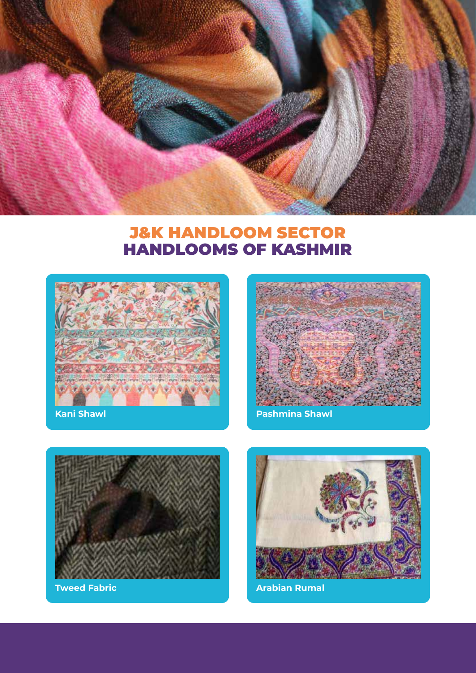

## J&K HANDLOOM SECTOR HANDLOOMS OF KASHMIR



**Kani Shawl**



**Pashmina Shawl**



**Tweed Fabric**



**Arabian Rumal**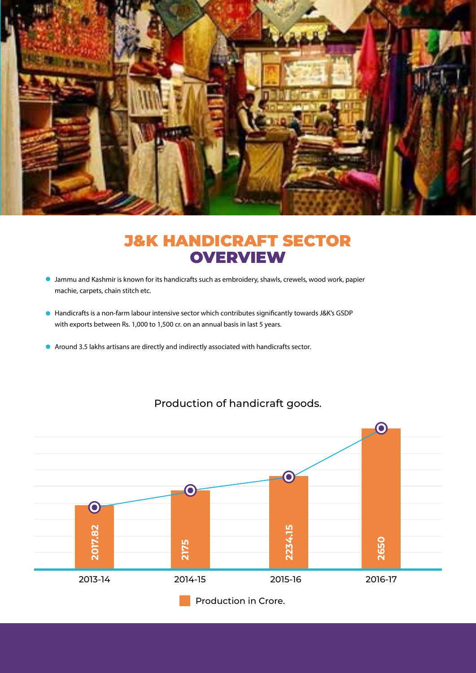

## J&K HANDICRAFT SECTOR **OVERVIEW**

- Jammu and Kashmir is known for its handicrafts such as embroidery, shawls, crewels, wood work, papier machie, carpets, chain stitch etc.
- Handicrafts is a non-farm labour intensive sector which contributes significantly towards J&K's GSDP with exports between Rs. 1,000 to 1,500 cr. on an annual basis in last 5 years.
- Around 3.5 lakhs artisans are directly and indirectly associated with handicrafts sector.



#### Production of handicraft goods.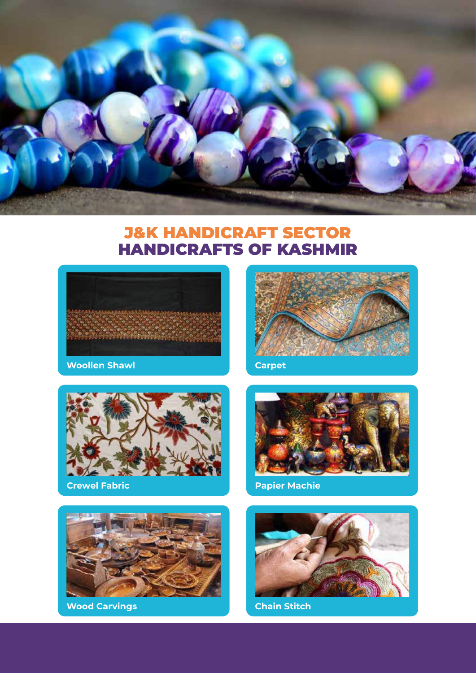

### J&K HANDICRAFT SECTOR HANDICRAFTS OF KASHMIR



**Woollen Shawl**



**Crewel Fabric**



**Wood Carvings**



**Carpet**



**Papier Machie**



**Chain Stitch**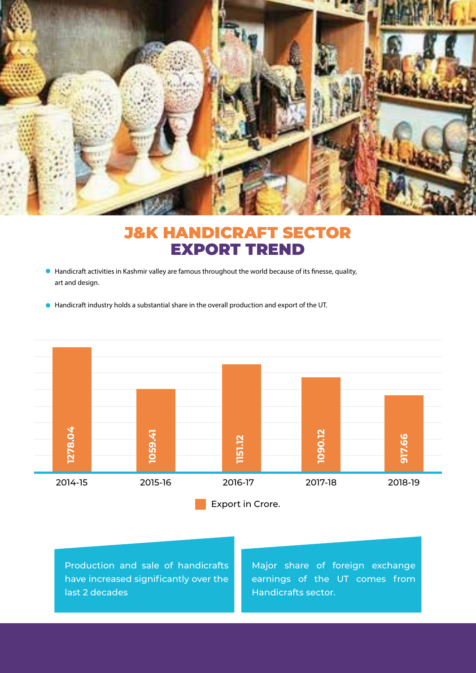

## J&K HANDICRAFT SECTOR EXPORT TREND

- Handicraft activities in Kashmir valley are famous throughout the world because of its finesse, quality, art and design.
- Handicraft industry holds a substantial share in the overall production and export of the UT.



Production and sale of handicrafts have increased significantly over the last 2 decades

Major share of foreign exchange earnings of the UT comes from Handicrafts sector.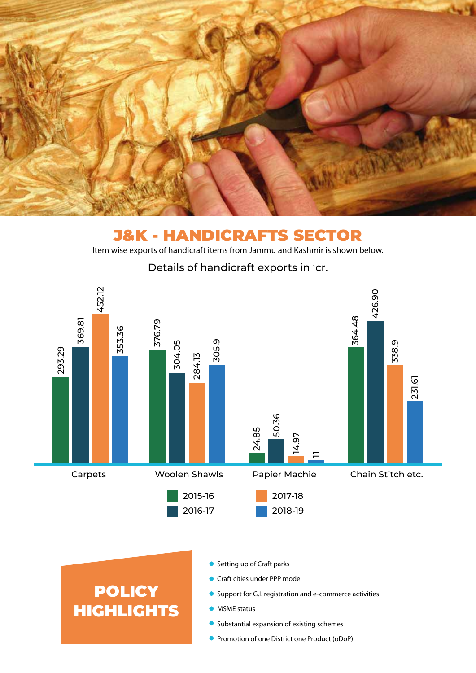

### J&K - HANDICRAFTS SECTOR Item wise exports of handicraft items from Jammu and Kashmir is shown below.



Details of handicraft exports in `cr.

# **POLICY** HIGHLIGHTS

- Setting up of Craft parks
- Craft cities under PPP mode
- **O** Support for G.I. registration and e-commerce activities
- **MSME** status
- Substantial expansion of existing schemes
- **Promotion of one District one Product (oDoP)**